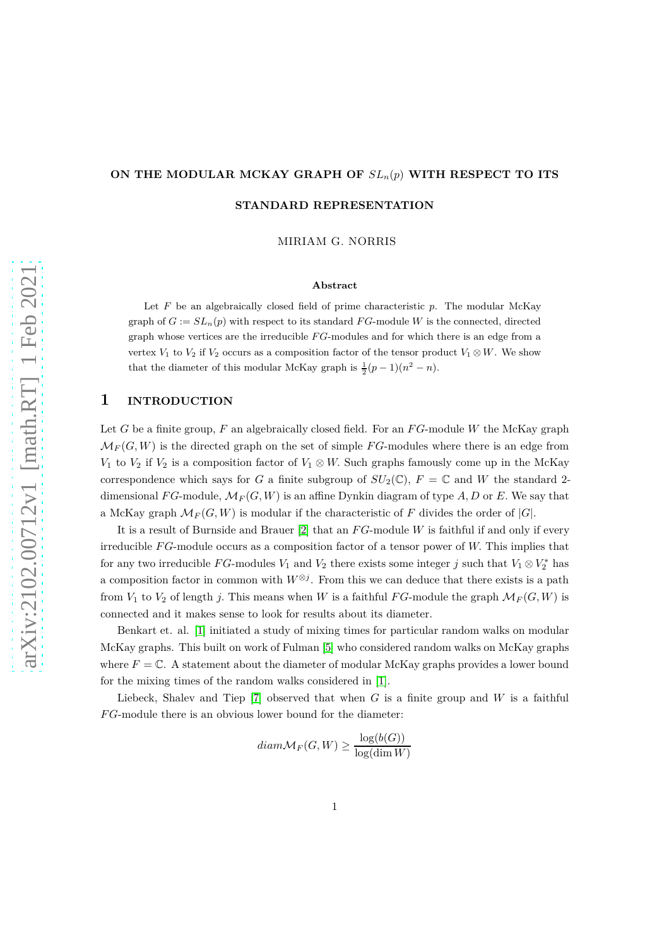### **ON THE MODULAR MCKAY GRAPH OF** *SLn*(*p*) **WITH RESPECT TO ITS**

**STANDARD REPRESENTATION**

MIRIAM G. NORRIS

#### **Abstract**

Let *F* be an algebraically closed field of prime characteristic *p*. The modular McKay graph of  $G := SL_n(p)$  with respect to its standard  $FG$ -module W is the connected, directed graph whose vertices are the irreducible *F G*-modules and for which there is an edge from a vertex *V*<sub>1</sub> to *V*<sub>2</sub> if *V*<sub>2</sub> occurs as a composition factor of the tensor product *V*<sub>1</sub> ⊗ *W*. We show that the diameter of this modular McKay graph is  $\frac{1}{2}(p-1)(n^2 - n)$ .

## **1 INTRODUCTION**

Let *G* be a finite group, *F* an algebraically closed field. For an *F G*-module *W* the McKay graph  $\mathcal{M}_F(G, W)$  is the directed graph on the set of simple *FG*-modules where there is an edge from *V*<sub>1</sub> to *V*<sub>2</sub> if *V*<sub>2</sub> is a composition factor of *V*<sub>1</sub> ⊗ *W*. Such graphs famously come up in the McKay correspondence which says for *G* a finite subgroup of  $SU_2(\mathbb{C})$ *,*  $F = \mathbb{C}$  and *W* the standard 2dimensional *FG*-module,  $\mathcal{M}_F(G, W)$  is an affine Dynkin diagram of type  $A, D$  or  $E$ . We say that a McKay graph  $\mathcal{M}_F(G, W)$  is modular if the characteristic of F divides the order of  $|G|$ .

It is a result of Burnside and Brauer [2] that an *F G*-module *W* is faithful if and only if every irreducible *F G*-module occurs as a composition factor of a tensor power of *W.* This implies that for any two irreducible  $FG$ -modules  $V_1$  and  $V_2$  there exists some integer *j* such that  $V_1 \otimes V_2^*$  has a composition factor in common with  $W^{\otimes j}$ . From this we can deduce that there exists is a path from  $V_1$  to  $V_2$  of length *j*. This means when *W* is a faithful *FG*-module the graph  $\mathcal{M}_F(G, W)$  is connected and it makes sense to look for results about its diameter.

Benkart et. al. [\[1\]](#page-10-0) initiated a study of mixing times for particular random walks on modular McKay graphs. This built on work of Fulman [\[5\]](#page-11-0) who considered random walks on McKay graphs where  $F = \mathbb{C}$ . A statement about the diameter of modular McKay graphs provides a lower bound for the mixing times of the random walks considered in [\[1\]](#page-10-0).

Liebeck, Shalev and Tiep  $[7]$  observed that when *G* is a finite group and *W* is a faithful *F G*-module there is an obvious lower bound for the diameter:

$$
diam \mathcal{M}_F(G, W) \ge \frac{\log(b(G))}{\log(\dim W)}
$$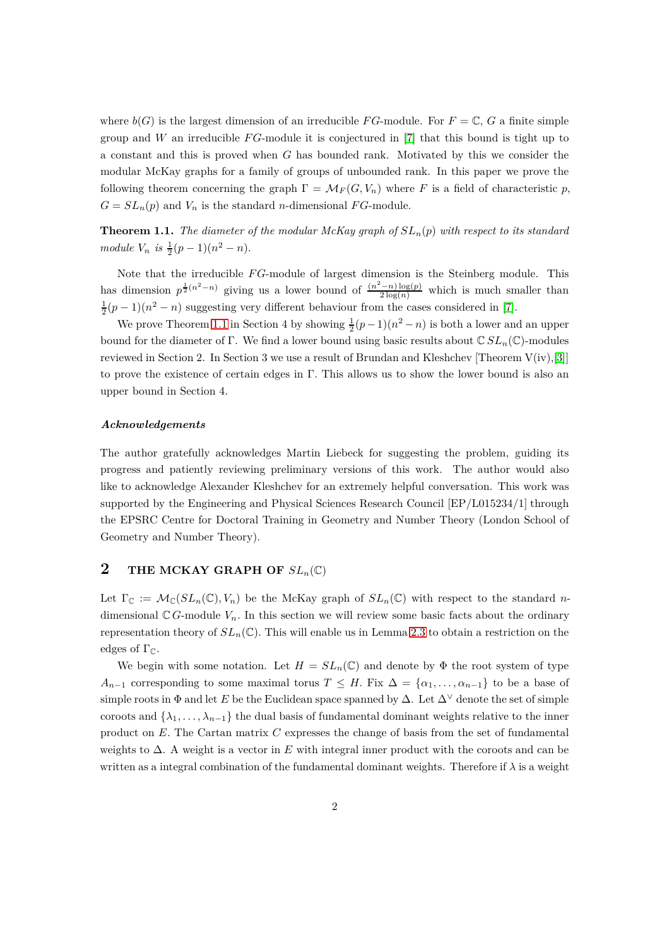where  $b(G)$  is the largest dimension of an irreducible *FG*-module. For  $F = \mathbb{C}$ , G a finite simple group and *W* an irreducible *F G*-module it is conjectured in [\[7\]](#page-11-1) that this bound is tight up to a constant and this is proved when *G* has bounded rank. Motivated by this we consider the modular McKay graphs for a family of groups of unbounded rank. In this paper we prove the following theorem concerning the graph  $\Gamma = \mathcal{M}_F(G, V_n)$  where *F* is a field of characteristic *p*,  $G = SL_n(p)$  and  $V_n$  is the standard *n*-dimensional *FG*-module.

<span id="page-1-0"></span>**Theorem 1.1.** *The diameter of the modular McKay graph of SLn*(*p*) *with respect to its standard*  $module~V_n$  *is*  $\frac{1}{2}(p-1)(n^2-n)$ .

Note that the irreducible *F G*-module of largest dimension is the Steinberg module. This has dimension  $p^{\frac{1}{2}(n^2-n)}$  giving us a lower bound of  $\frac{(n^2-n)\log(p)}{2\log(n)}$  which is much smaller than  $\frac{1}{2}(p-1)(n^2-n)$  suggesting very different behaviour from the cases considered in [\[7\]](#page-11-1).

We prove Theorem [1.1](#page-1-0) in Section 4 by showing  $\frac{1}{2}(p-1)(n^2-n)$  is both a lower and an upper bound for the diameter of Γ. We find a lower bound using basic results about C *SLn*(C)-modules reviewed in Section 2. In Section 3 we use a result of Brundan and Kleshchev [Theorem  $V(iv, [3]]$  $V(iv, [3]]$  $V(iv, [3]]$ ] to prove the existence of certain edges in Γ*.* This allows us to show the lower bound is also an upper bound in Section 4.

#### *Acknowledgements*

The author gratefully acknowledges Martin Liebeck for suggesting the problem, guiding its progress and patiently reviewing preliminary versions of this work. The author would also like to acknowledge Alexander Kleshchev for an extremely helpful conversation. This work was supported by the Engineering and Physical Sciences Research Council [EP/L015234/1] through the EPSRC Centre for Doctoral Training in Geometry and Number Theory (London School of Geometry and Number Theory).

# **2** THE MCKAY GRAPH OF  $SL_n(\mathbb{C})$

Let  $\Gamma_{\mathbb{C}} := \mathcal{M}_{\mathbb{C}}(SL_n(\mathbb{C}), V_n)$  be the McKay graph of  $SL_n(\mathbb{C})$  with respect to the standard *n*dimensional  $\mathbb{C} G$ -module  $V_n$ . In this section we will review some basic facts about the ordinary representation theory of  $SL_n(\mathbb{C})$ . This will enable us in Lemma [2.3](#page-2-0) to obtain a restriction on the edges of  $\Gamma_{\mathbb{C}}$ .

We begin with some notation. Let  $H = SL_n(\mathbb{C})$  and denote by  $\Phi$  the root system of type *A*<sub>*n*−1</sub> corresponding to some maximal torus  $T \leq H$ . Fix  $\Delta = {\alpha_1, \ldots, \alpha_{n-1}}$  to be a base of simple roots in  $\Phi$  and let *E* be the Euclidean space spanned by  $\Delta$ . Let  $\Delta^{\vee}$  denote the set of simple coroots and  $\{\lambda_1, \ldots, \lambda_{n-1}\}$  the dual basis of fundamental dominant weights relative to the inner product on *E.* The Cartan matrix *C* expresses the change of basis from the set of fundamental weights to ∆. A weight is a vector in *E* with integral inner product with the coroots and can be written as a integral combination of the fundamental dominant weights. Therefore if  $\lambda$  is a weight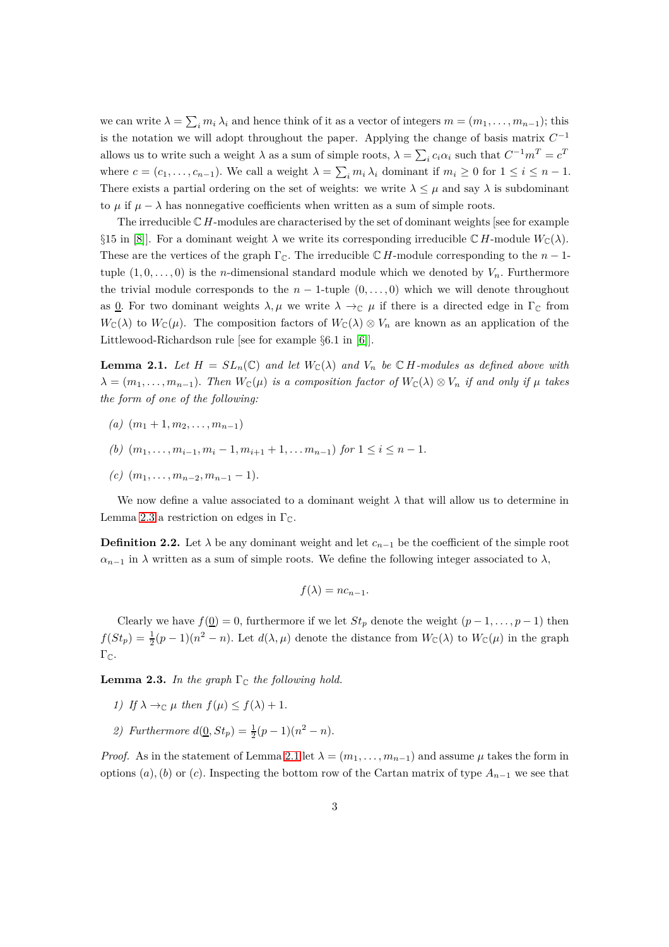we can write  $\lambda = \sum_i m_i \lambda_i$  and hence think of it as a vector of integers  $m = (m_1, \ldots, m_{n-1})$ ; this is the notation we will adopt throughout the paper. Applying the change of basis matrix  $C^{-1}$ allows us to write such a weight  $\lambda$  as a sum of simple roots,  $\lambda = \sum_i c_i \alpha_i$  such that  $C^{-1}m^T = c^T$ where  $c = (c_1, \ldots, c_{n-1})$ . We call a weight  $\lambda = \sum_i m_i \lambda_i$  dominant if  $m_i \geq 0$  for  $1 \leq i \leq n-1$ . There exists a partial ordering on the set of weights: we write  $\lambda \leq \mu$  and say  $\lambda$  is subdominant to  $\mu$  if  $\mu - \lambda$  has nonnegative coefficients when written as a sum of simple roots.

The irreducible C *H*-modules are characterised by the set of dominant weights [see for example §15 in [\[8\]](#page-11-3). For a dominant weight  $\lambda$  we write its corresponding irreducible  $\mathbb{C}$  *H*-module  $W_{\mathbb{C}}(\lambda)$ *.* These are the vertices of the graph  $\Gamma_{\mathbb{C}}$ . The irreducible  $\mathbb{C}$  *H*-module corresponding to the *n* − 1tuple  $(1, 0, \ldots, 0)$  is the *n*-dimensional standard module which we denoted by  $V_n$ . Furthermore the trivial module corresponds to the  $n-1$ -tuple  $(0,\ldots,0)$  which we will denote throughout as <u>0</u>. For two dominant weights  $\lambda, \mu$  we write  $\lambda \to_{\mathbb{C}} \mu$  if there is a directed edge in  $\Gamma_{\mathbb{C}}$  from  $W_{\mathbb{C}}(\lambda)$  to  $W_{\mathbb{C}}(\mu)$ . The composition factors of  $W_{\mathbb{C}}(\lambda) \otimes V_n$  are known as an application of the Littlewood-Richardson rule [see for example §6*.*1 in [\[6\]](#page-11-4)].

<span id="page-2-1"></span>**Lemma 2.1.** *Let*  $H = SL_n(\mathbb{C})$  *and let*  $W_{\mathbb{C}}(\lambda)$  *and*  $V_n$  *be*  $\mathbb{C}$  *H-modules as defined above with*  $\lambda = (m_1, \ldots, m_{n-1})$ *. Then*  $W_{\mathbb{C}}(\mu)$  *is a composition factor of*  $W_{\mathbb{C}}(\lambda) \otimes V_n$  *if and only if*  $\mu$  *takes the form of one of the following:*

- $(n)$   $(m_1 + 1, m_2, \ldots, m_{n-1})$
- *(b)*  $(m_1, \ldots, m_{i-1}, m_i-1, m_{i+1}+1, \ldots, m_{n-1})$  *for*  $1 \leq i \leq n-1$ *.*
- $(c)$   $(m_1, \ldots, m_{n-2}, m_{n-1} 1)$ .

We now define a value associated to a dominant weight  $\lambda$  that will allow us to determine in Lemma [2.3](#page-2-0) a restriction on edges in  $\Gamma_{\mathbb{C}}$ .

<span id="page-2-2"></span>**Definition 2.2.** Let  $\lambda$  be any dominant weight and let  $c_{n-1}$  be the coefficient of the simple root  $\alpha_{n-1}$  in  $\lambda$  written as a sum of simple roots. We define the following integer associated to  $\lambda$ ,

$$
f(\lambda) = nc_{n-1}.
$$

Clearly we have  $f(\underline{0}) = 0$ , furthermore if we let  $St_p$  denote the weight  $(p-1,\ldots,p-1)$  then  $f(St_p) = \frac{1}{2}(p-1)(n^2-n)$ . Let  $d(\lambda, \mu)$  denote the distance from  $W_{\mathbb{C}}(\lambda)$  to  $W_{\mathbb{C}}(\mu)$  in the graph  $\Gamma_{\mathbb{C}}$ .

<span id="page-2-0"></span>**Lemma 2.3.** *In the graph*  $\Gamma_{\mathbb{C}}$  *the following hold.* 

- *1)* If  $\lambda \rightarrow_{\mathbb{C}} \mu$  then  $f(\mu) \leq f(\lambda) + 1$ .
- 2) Furthermore  $d(\underline{0}, St_p) = \frac{1}{2}(p-1)(n^2 n)$ .

*Proof.* As in the statement of Lemma [2.1](#page-2-1) let  $\lambda = (m_1, \ldots, m_{n-1})$  and assume  $\mu$  takes the form in options  $(a)$ ,  $(b)$  or  $(c)$ *.* Inspecting the bottom row of the Cartan matrix of type  $A_{n-1}$  we see that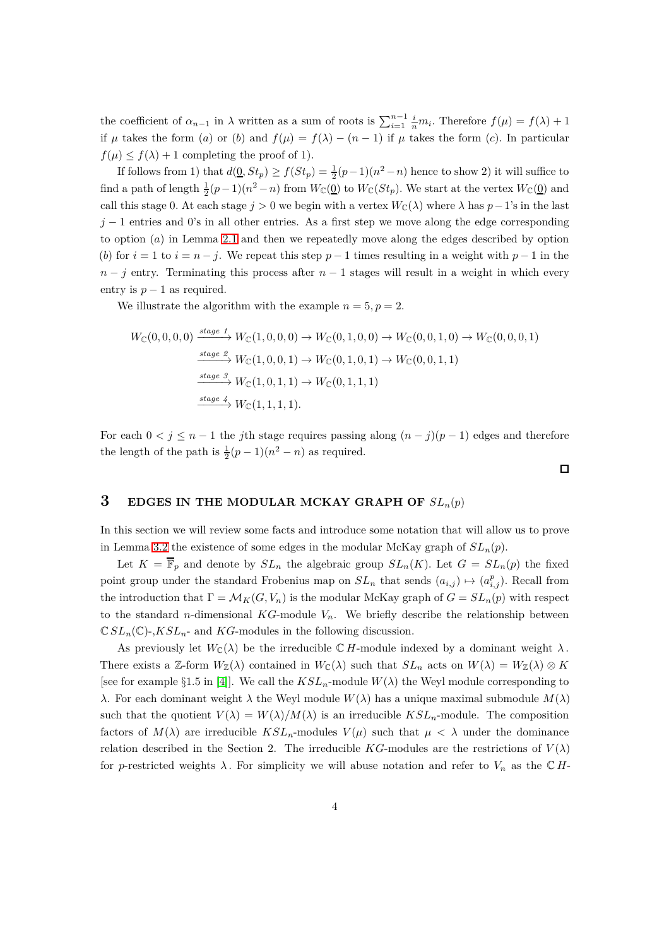the coefficient of  $\alpha_{n-1}$  in  $\lambda$  written as a sum of roots is  $\sum_{i=1}^{n-1} \frac{i}{n} m_i$ . Therefore  $f(\mu) = f(\lambda) + 1$ if  $\mu$  takes the form (*a*) or (*b*) and  $f(\mu) = f(\lambda) - (n-1)$  if  $\mu$  takes the form (*c*)*.* In particular  $f(\mu) \leq f(\lambda) + 1$  completing the proof of 1).

If follows from 1) that  $d(\underline{0}, St_p) \ge f(St_p) = \frac{1}{2}(p-1)(n^2 - n)$  hence to show 2) it will suffice to find a path of length  $\frac{1}{2}(p-1)(n^2-n)$  from  $W_{\mathbb{C}}(\mathcal{Q})$  to  $W_{\mathbb{C}}(St_p)$ . We start at the vertex  $W_{\mathbb{C}}(\mathcal{Q})$  and call this stage 0. At each stage  $j > 0$  we begin with a vertex  $W_{\mathbb{C}}(\lambda)$  where  $\lambda$  has  $p-1$ 's in the last  $j-1$  entries and 0's in all other entries. As a first step we move along the edge corresponding to option (*a*) in Lemma [2.1](#page-2-1) and then we repeatedly move along the edges described by option (*b*) for  $i = 1$  to  $i = n - j$ . We repeat this step  $p - 1$  times resulting in a weight with  $p - 1$  in the  $n - j$  entry. Terminating this process after  $n - 1$  stages will result in a weight in which every entry is  $p-1$  as required.

We illustrate the algorithm with the example  $n = 5, p = 2$ .

$$
W_{\mathbb{C}}(0,0,0,0) \xrightarrow{\text{stage 1}} W_{\mathbb{C}}(1,0,0,0) \to W_{\mathbb{C}}(0,1,0,0) \to W_{\mathbb{C}}(0,0,1,0) \to W_{\mathbb{C}}(0,0,0,1)
$$
  
\n
$$
\xrightarrow{\text{stage 2}} W_{\mathbb{C}}(1,0,0,1) \to W_{\mathbb{C}}(0,1,0,1) \to W_{\mathbb{C}}(0,0,1,1)
$$
  
\n
$$
\xrightarrow{\text{stage 3}} W_{\mathbb{C}}(1,0,1,1) \to W_{\mathbb{C}}(0,1,1,1)
$$
  
\n
$$
\xrightarrow{\text{stage 4}} W_{\mathbb{C}}(1,1,1,1).
$$

For each  $0 < j \leq n-1$  the *j*th stage requires passing along  $(n-j)(p-1)$  edges and therefore the length of the path is  $\frac{1}{2}(p-1)(n^2 - n)$  as required.

 $\Box$ 

# **3 EDGES IN THE MODULAR MCKAY GRAPH OF**  $SL_n(p)$

In this section we will review some facts and introduce some notation that will allow us to prove in Lemma [3.2](#page-4-0) the existence of some edges in the modular McKay graph of  $SL_n(p)$ .

Let  $K = \overline{\mathbb{F}}_p$  and denote by  $SL_n$  the algebraic group  $SL_n(K)$ . Let  $G = SL_n(p)$  the fixed point group under the standard Frobenius map on  $SL_n$  that sends  $(a_{i,j}) \mapsto (a_{i,j}^p)$ . Recall from the introduction that  $\Gamma = \mathcal{M}_K(G, V_n)$  is the modular McKay graph of  $G = SL_n(p)$  with respect to the standard *n*-dimensional  $KG$ -module  $V_n$ . We briefly describe the relationship between  $\mathbb{C} SL_n(\mathbb{C})$ -, $KSL_n$ - and  $KG$ -modules in the following discussion.

As previously let  $W_{\mathbb{C}}(\lambda)$  be the irreducible  $\mathbb{C}$  *H*-module indexed by a dominant weight  $\lambda$ . There exists a Z-form  $W_{\mathbb{Z}}(\lambda)$  contained in  $W_{\mathbb{C}}(\lambda)$  such that  $SL_n$  acts on  $W(\lambda) = W_{\mathbb{Z}}(\lambda) \otimes K$ [see for example §1.5 in [\[4\]](#page-11-5)]. We call the  $KSL_n$ -module  $W(\lambda)$  the Weyl module corresponding to *λ*. For each dominant weight *λ* the Weyl module  $W(\lambda)$  has a unique maximal submodule  $M(\lambda)$ such that the quotient  $V(\lambda) = W(\lambda)/M(\lambda)$  is an irreducible  $KSL_n$ -module. The composition factors of  $M(\lambda)$  are irreducible  $KSL_n$ -modules  $V(\mu)$  such that  $\mu < \lambda$  under the dominance relation described in the Section 2. The irreducible  $KG$ -modules are the restrictions of  $V(\lambda)$ for *p*-restricted weights  $\lambda$ . For simplicity we will abuse notation and refer to  $V_n$  as the  $\mathbb{C}H$ -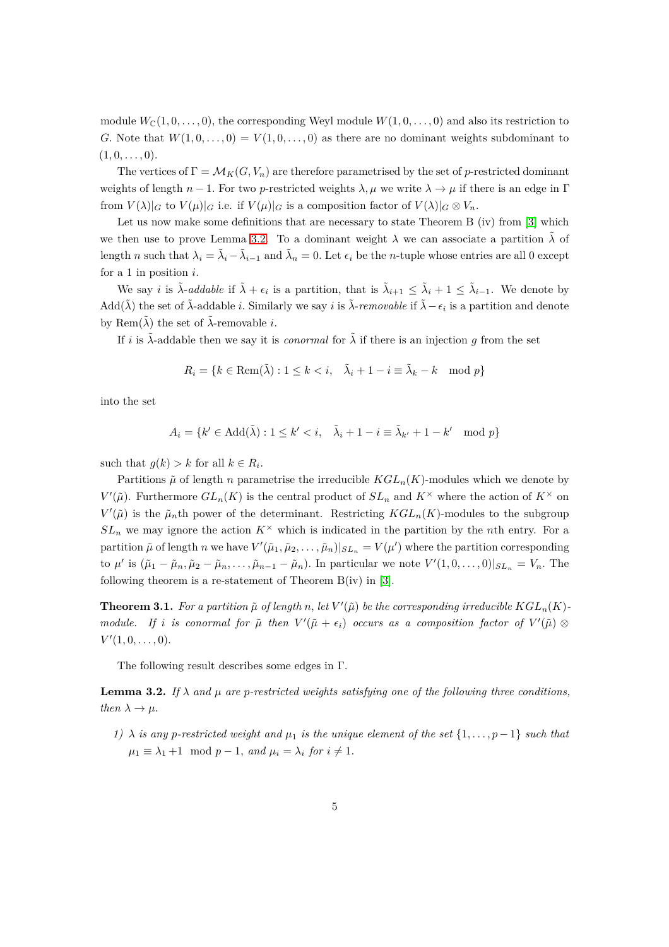module  $W_{\mathbb{C}}(1,0,\ldots,0)$ , the corresponding Weyl module  $W(1,0,\ldots,0)$  and also its restriction to *G.* Note that  $W(1,0,\ldots,0) = V(1,0,\ldots,0)$  as there are no dominant weights subdominant to  $(1, 0, \ldots, 0)$ .

The vertices of  $\Gamma = \mathcal{M}_K(G, V_n)$  are therefore parametrised by the set of *p*-restricted dominant weights of length  $n-1$ . For two *p*-restricted weights  $\lambda, \mu$  we write  $\lambda \to \mu$  if there is an edge in Γ from  $V(\lambda)|_G$  to  $V(\mu)|_G$  i.e. if  $V(\mu)|_G$  is a composition factor of  $V(\lambda)|_G \otimes V_n$ .

Let us now make some definitions that are necessary to state Theorem B (iv) from [\[3\]](#page-11-2) which we then use to prove Lemma [3.2.](#page-4-0) To a dominant weight  $\lambda$  we can associate a partition  $\tilde{\lambda}$  of length *n* such that  $\lambda_i = \tilde{\lambda}_i - \tilde{\lambda}_{i-1}$  and  $\tilde{\lambda}_n = 0$ . Let  $\epsilon_i$  be the *n*-tuple whose entries are all 0 except for a 1 in position *i*.

We say *i* is  $\tilde{\lambda}$ -*addable* if  $\tilde{\lambda} + \epsilon_i$  is a partition, that is  $\tilde{\lambda}_{i+1} \leq \tilde{\lambda}_i + 1 \leq \tilde{\lambda}_{i-1}$ . We denote by Add( $\tilde{\lambda}$ ) the set of  $\tilde{\lambda}$ -addable *i*. Similarly we say *i* is  $\tilde{\lambda}$ -*removable* if  $\tilde{\lambda} - \epsilon_i$  is a partition and denote by Rem $(\tilde{\lambda})$  the set of  $\tilde{\lambda}$ -removable *i*.

If *i* is  $\tilde{\lambda}$ -addable then we say it is *conormal* for  $\tilde{\lambda}$  if there is an injection *g* from the set

$$
R_i = \{ k \in \text{Rem}(\tilde{\lambda}) : 1 \le k < i, \quad \tilde{\lambda}_i + 1 - i \equiv \tilde{\lambda}_k - k \mod p \}
$$

into the set

$$
A_i = \{k' \in \text{Add}(\tilde{\lambda}) : 1 \le k' < i, \quad \tilde{\lambda}_i + 1 - i \equiv \tilde{\lambda}_{k'} + 1 - k' \mod p\}
$$

such that  $g(k) > k$  for all  $k \in R_i$ .

Partitions  $\tilde{\mu}$  of length *n* parametrise the irreducible  $KGL_n(K)$ -modules which we denote by *V*<sup> $\prime$ </sup>( $\tilde{\mu}$ ). Furthermore  $GL_n(K)$  is the central product of  $SL_n$  and  $K^{\times}$  where the action of  $K^{\times}$  on  $V'(\tilde{\mu})$  is the  $\tilde{\mu}_n$ <sup>th</sup> power of the determinant. Restricting  $KGL_n(K)$ -modules to the subgroup  $SL_n$  we may ignore the action  $K^{\times}$  which is indicated in the partition by the *n*th entry. For a partition  $\tilde{\mu}$  of length *n* we have  $V'(\tilde{\mu}_1, \tilde{\mu}_2, \dots, \tilde{\mu}_n)|_{SL_n} = V(\mu')$  where the partition corresponding to  $\mu'$  is  $(\tilde{\mu}_1 - \tilde{\mu}_n, \tilde{\mu}_2 - \tilde{\mu}_n, \dots, \tilde{\mu}_{n-1} - \tilde{\mu}_n)$ . In particular we note  $V'(1, 0, \dots, 0)|_{SL_n} = V_n$ . The following theorem is a re-statement of Theorem  $B(iv)$  in [\[3\]](#page-11-2).

<span id="page-4-1"></span>**Theorem 3.1.** For a partition  $\tilde{\mu}$  of length n, let  $V'(\tilde{\mu})$  be the corresponding irreducible  $KGL_n(K)$ *module.* If *i* is conormal for  $\tilde{\mu}$  then  $V'(\tilde{\mu} + \epsilon_i)$  occurs as a composition factor of  $V'(\tilde{\mu}) \otimes$  $V'(1,0,\ldots,0)$ .

The following result describes some edges in Γ*.*

<span id="page-4-0"></span>**Lemma 3.2.** *If*  $\lambda$  *and*  $\mu$  *are p*-restricted weights satisfying one of the following three conditions, *then*  $\lambda \rightarrow \mu$ .

*1)*  $\lambda$  *is any p*-restricted weight and  $\mu_1$  *is the unique element of the set* {1, ..., *p* − 1} *such that*  $\mu_1 \equiv \lambda_1 + 1 \mod p - 1$ , and  $\mu_i = \lambda_i$  for  $i \neq 1$ .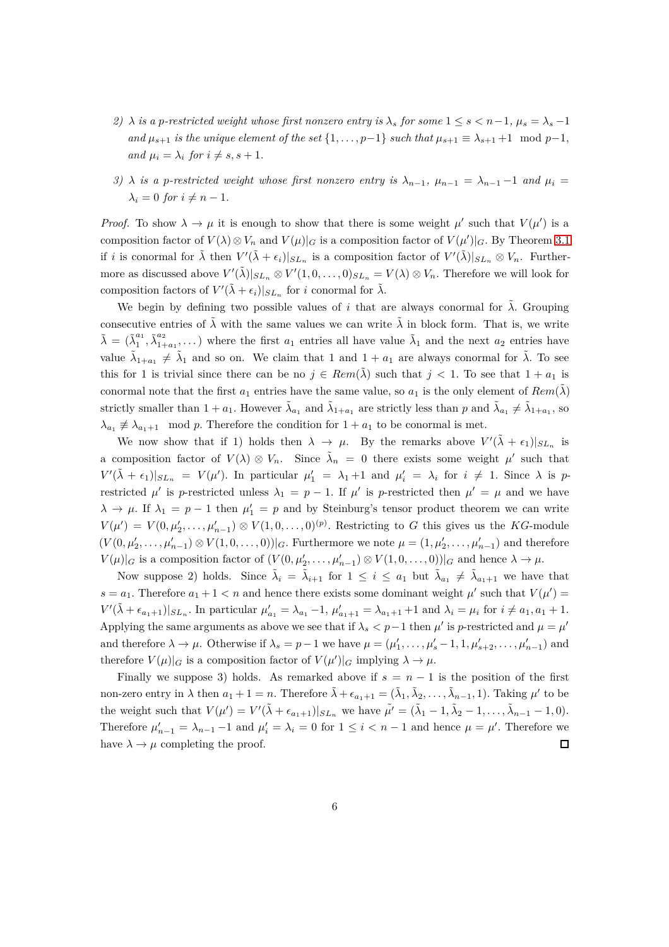- *2)*  $\lambda$  *is a p-restricted weight whose first nonzero entry is*  $\lambda_s$  *for some*  $1 \leq s \leq n-1$ ,  $\mu_s = \lambda_s 1$ *and*  $\mu_{s+1}$  *is the unique element of the set*  $\{1, \ldots, p-1\}$  *such that*  $\mu_{s+1} \equiv \lambda_{s+1} + 1 \mod p-1$ , *and*  $\mu_i = \lambda_i$  *for*  $i \neq s, s + 1$ .
- *3)*  $\lambda$  *is a p-restricted weight whose first nonzero entry is*  $\lambda_{n-1}$ ,  $\mu_{n-1} = \lambda_{n-1} 1$  and  $\mu_i =$  $\lambda_i = 0$  *for*  $i \neq n-1$ .

*Proof.* To show  $\lambda \to \mu$  it is enough to show that there is some weight  $\mu'$  such that  $V(\mu')$  is a composition factor of  $V(\lambda) \otimes V_n$  and  $V(\mu)|_G$  is a composition factor of  $V(\mu')|_G$ *.* By Theorem [3.1](#page-4-1) if *i* is conormal for  $\tilde{\lambda}$  then  $V'(\tilde{\lambda} + \epsilon_i)|_{SL_n}$  is a composition factor of  $V'(\tilde{\lambda})|_{SL_n} \otimes V_n$ . Furthermore as discussed above  $V'(\tilde{\lambda})|_{SL_n} \otimes V'(1,0,\ldots,0)_{SL_n} = V(\lambda) \otimes V_n$ . Therefore we will look for composition factors of  $V'(\tilde{\lambda} + \epsilon_i)|_{SL_n}$  for *i* conormal for  $\tilde{\lambda}$ .

We begin by defining two possible values of *i* that are always conormal for  $\lambda$ . Grouping consecutive entries of  $\tilde{\lambda}$  with the same values we can write  $\tilde{\lambda}$  in block form. That is, we write  $\tilde{\lambda} = (\tilde{\lambda}_1^{a_1})$  $a_1^{a_1}, \tilde{\lambda}^{a_2}_{1+}$  $a_1^{a_2}$ ,...) where the first  $a_1$  entries all have value  $\tilde{\lambda}_1$  and the next  $a_2$  entries have value  $\tilde{\lambda}_{1+a_1} \neq \tilde{\lambda}_1$  and so on. We claim that 1 and  $1 + a_1$  are always conormal for  $\tilde{\lambda}$ . To see this for 1 is trivial since there can be no  $j \in Rem(\lambda)$  such that  $j < 1$ . To see that  $1 + a_1$  is conormal note that the first  $a_1$  entries have the same value, so  $a_1$  is the only element of  $Rem(\tilde{\lambda})$ strictly smaller than  $1 + a_1$ . However  $\tilde{\lambda}_{a_1}$  and  $\tilde{\lambda}_{1+a_1}$  are strictly less than *p* and  $\tilde{\lambda}_{a_1} \neq \tilde{\lambda}_{1+a_1}$ , so  $\lambda_{a_1} \not\equiv \lambda_{a_1+1} \mod p$ . Therefore the condition for  $1 + a_1$  to be conormal is met.

We now show that if 1) holds then  $\lambda \to \mu$ . By the remarks above  $V'(\tilde{\lambda} + \epsilon_1)|_{SL_n}$  is a composition factor of  $V(\lambda) \otimes V_n$ . Since  $\tilde{\lambda}_n = 0$  there exists some weight  $\mu'$  such that  $V'(\tilde{\lambda} + \epsilon_1)|_{SL_n} = V(\mu')$ . In particular  $\mu'_1 = \lambda_1 + 1$  and  $\mu'_i = \lambda_i$  for  $i \neq 1$ . Since  $\lambda$  is *p*restricted  $\mu'$  is *p*-restricted unless  $\lambda_1 = p - 1$ . If  $\mu'$  is *p*-restricted then  $\mu' = \mu$  and we have  $\lambda \to \mu$ . If  $\lambda_1 = p - 1$  then  $\mu'_1 = p$  and by Steinburg's tensor product theorem we can write  $V(\mu') = V(0, \mu'_2, \dots, \mu'_{n-1}) \otimes V(1, 0, \dots, 0)^{(p)}$ . Restricting to *G* this gives us the *KG*-module  $(V(0, \mu'_2, \ldots, \mu'_{n-1}) \otimes V(1, 0, \ldots, 0))|_G$ . Furthermore we note  $\mu = (1, \mu'_2, \ldots, \mu'_{n-1})$  and therefore  $V(\mu)|_G$  is a composition factor of  $(V(0, \mu'_2, \ldots, \mu'_{n-1}) \otimes V(1, 0, \ldots, 0))|_G$  and hence  $\lambda \to \mu$ .

Now suppose 2) holds. Since  $\tilde{\lambda}_i = \tilde{\lambda}_{i+1}$  for  $1 \leq i \leq a_1$  but  $\tilde{\lambda}_{a_1} \neq \tilde{\lambda}_{a_1+1}$  we have that  $s = a_1$ . Therefore  $a_1 + 1 < n$  and hence there exists some dominant weight  $\mu'$  such that  $V(\mu') =$  $V'(\tilde{\lambda} + \epsilon_{a_1+1})|_{SL_n}$ . In particular  $\mu'_{a_1} = \lambda_{a_1} - 1$ ,  $\mu'_{a_1+1} = \lambda_{a_1+1} + 1$  and  $\lambda_i = \mu_i$  for  $i \neq a_1, a_1 + 1$ . Applying the same arguments as above we see that if  $\lambda_s < p-1$  then  $\mu'$  is *p*-restricted and  $\mu = \mu'$ and therefore  $\lambda \to \mu$ . Otherwise if  $\lambda_s = p-1$  we have  $\mu = (\mu'_1, \ldots, \mu'_s - 1, 1, \mu'_{s+2}, \ldots, \mu'_{n-1})$  and therefore  $V(\mu)|_G$  is a composition factor of  $V(\mu')|_G$  implying  $\lambda \to \mu$ .

Finally we suppose 3) holds. As remarked above if  $s = n - 1$  is the position of the first non-zero entry in  $\lambda$  then  $a_1 + 1 = n$ . Therefore  $\tilde{\lambda} + \epsilon_{a_1+1} = (\tilde{\lambda}_1, \tilde{\lambda}_2, \dots, \tilde{\lambda}_{n-1}, 1)$ . Taking  $\mu'$  to be the weight such that  $V(\mu') = V'(\tilde{\lambda} + \epsilon_{a_1+1})|_{SL_n}$  we have  $\tilde{\mu'} = (\tilde{\lambda}_1 - 1, \tilde{\lambda}_2 - 1, \dots, \tilde{\lambda}_{n-1} - 1, 0)$ . Therefore  $\mu'_{n-1} = \lambda_{n-1} - 1$  and  $\mu'_{i} = \lambda_{i} = 0$  for  $1 \leq i < n-1$  and hence  $\mu = \mu'$ . Therefore we have  $\lambda \to \mu$  completing the proof.  $\Box$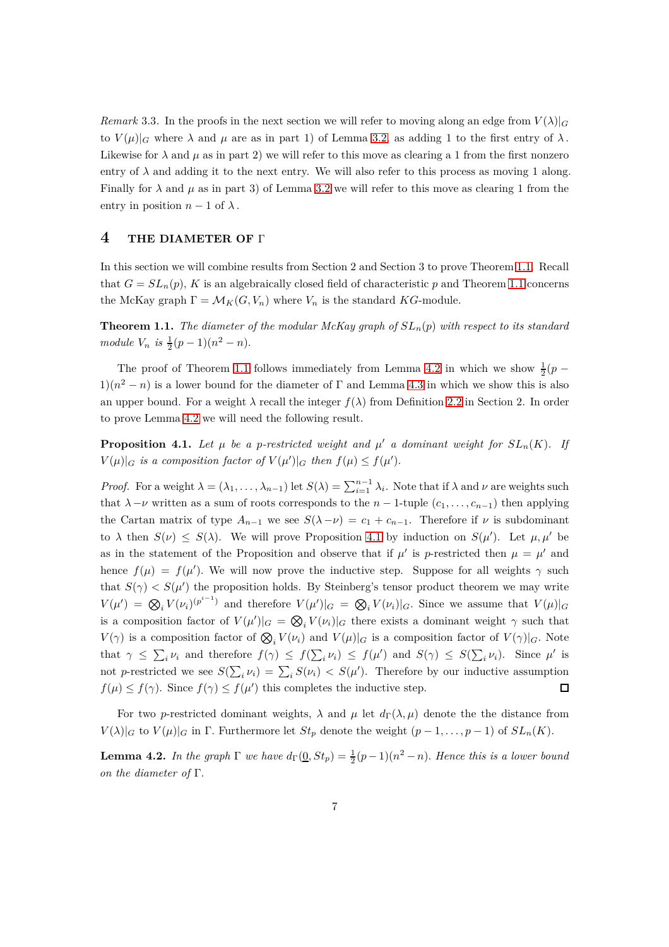<span id="page-6-2"></span>*Remark* 3.3. In the proofs in the next section we will refer to moving along an edge from  $V(\lambda)|_G$ to  $V(\mu)|_G$  where  $\lambda$  and  $\mu$  are as in part 1) of Lemma [3.2,](#page-4-0) as adding 1 to the first entry of  $\lambda$ . Likewise for  $\lambda$  and  $\mu$  as in part 2) we will refer to this move as clearing a 1 from the first nonzero entry of  $\lambda$  and adding it to the next entry. We will also refer to this process as moving 1 along. Finally for  $\lambda$  and  $\mu$  as in part 3) of Lemma [3.2](#page-4-0) we will refer to this move as clearing 1 from the entry in position  $n-1$  of  $\lambda$ .

### **4 THE DIAMETER OF** <sup>Γ</sup>

In this section we will combine results from Section 2 and Section 3 to prove Theorem [1.1.](#page-1-0) Recall that  $G = SL_n(p)$ , K is an algebraically closed field of characteristic p and Theorem [1.1](#page-1-0) concerns the McKay graph  $\Gamma = \mathcal{M}_K(G, V_n)$  where  $V_n$  is the standard *KG*-module.

**Theorem 1.1.** *The diameter of the modular McKay graph of SLn*(*p*) *with respect to its standard*  $module~V_n$  *is*  $\frac{1}{2}(p-1)(n^2-n)$ .

The proof of Theorem [1.1](#page-1-0) follows immediately from Lemma [4.2](#page-6-0) in which we show  $\frac{1}{2}(p 1(n^2 - n)$  is a lower bound for the diameter of  $\Gamma$  and Lemma [4.3](#page-7-0) in which we show this is also an upper bound. For a weight  $\lambda$  recall the integer  $f(\lambda)$  from Definition [2.2](#page-2-2) in Section 2. In order to prove Lemma [4.2](#page-6-0) we will need the following result.

<span id="page-6-1"></span>**Proposition 4.1.** Let  $\mu$  be a p-restricted weight and  $\mu'$  a dominant weight for  $SL_n(K)$ . If  $V(\mu)|_G$  *is a composition factor of*  $V(\mu')|_G$  *then*  $f(\mu) \leq f(\mu')$ *.* 

*Proof.* For a weight  $\lambda = (\lambda_1, \ldots, \lambda_{n-1})$  let  $S(\lambda) = \sum_{i=1}^{n-1} \lambda_i$ . Note that if  $\lambda$  and  $\nu$  are weights such that  $\lambda - \nu$  written as a sum of roots corresponds to the  $n - 1$ -tuple  $(c_1, \ldots, c_{n-1})$  then applying the Cartan matrix of type  $A_{n-1}$  we see  $S(\lambda - \nu) = c_1 + c_{n-1}$ . Therefore if  $\nu$  is subdominant to  $\lambda$  then  $S(\nu) \leq S(\lambda)$ . We will prove Proposition [4.1](#page-6-1) by induction on  $S(\mu')$ . Let  $\mu, \mu'$  be as in the statement of the Proposition and observe that if  $\mu'$  is *p*-restricted then  $\mu = \mu'$  and hence  $f(\mu) = f(\mu')$ . We will now prove the inductive step. Suppose for all weights  $\gamma$  such that  $S(\gamma) < S(\mu')$  the proposition holds. By Steinberg's tensor product theorem we may write  $V(\mu') = \bigotimes_i V(\nu_i)^{(p^{i-1})}$  and therefore  $V(\mu')|_G = \bigotimes_i V(\nu_i)|_G$ . Since we assume that  $V(\mu)|_G$ is a composition factor of  $V(\mu')|_G = \bigotimes_i V(\nu_i)|_G$  there exists a dominant weight  $\gamma$  such that *V*( $\gamma$ ) is a composition factor of  $\mathcal{Q}_i V(\nu_i)$  and  $V(\mu)|_G$  is a composition factor of  $V(\gamma)|_G$ . Note that  $\gamma \leq \sum_i \nu_i$  and therefore  $f(\gamma) \leq f(\sum_i \nu_i) \leq f(\mu')$  and  $S(\gamma) \leq S(\sum_i \nu_i)$ . Since  $\mu'$  is not *p*-restricted we see  $S(\sum_i \nu_i) = \sum_i S(\nu_i) < S(\mu')$ . Therefore by our inductive assumption  $f(\mu) \leq f(\gamma)$ . Since  $f(\gamma) \leq f(\mu')$  this completes the inductive step.  $\Box$ 

For two *p*-restricted dominant weights,  $\lambda$  and  $\mu$  let  $d_{\Gamma}(\lambda, \mu)$  denote the the distance from  $V(\lambda)|_G$  to  $V(\mu)|_G$  in  $\Gamma$ . Furthermore let  $St_p$  denote the weight  $(p-1,\ldots,p-1)$  of  $SL_n(K)$ .

<span id="page-6-0"></span>**Lemma 4.2.** *In the graph*  $\Gamma$  *we have*  $d_{\Gamma}(\underline{0}, St_p) = \frac{1}{2}(p-1)(n^2-n)$ *. Hence this is a lower bound on the diameter of* Γ*.*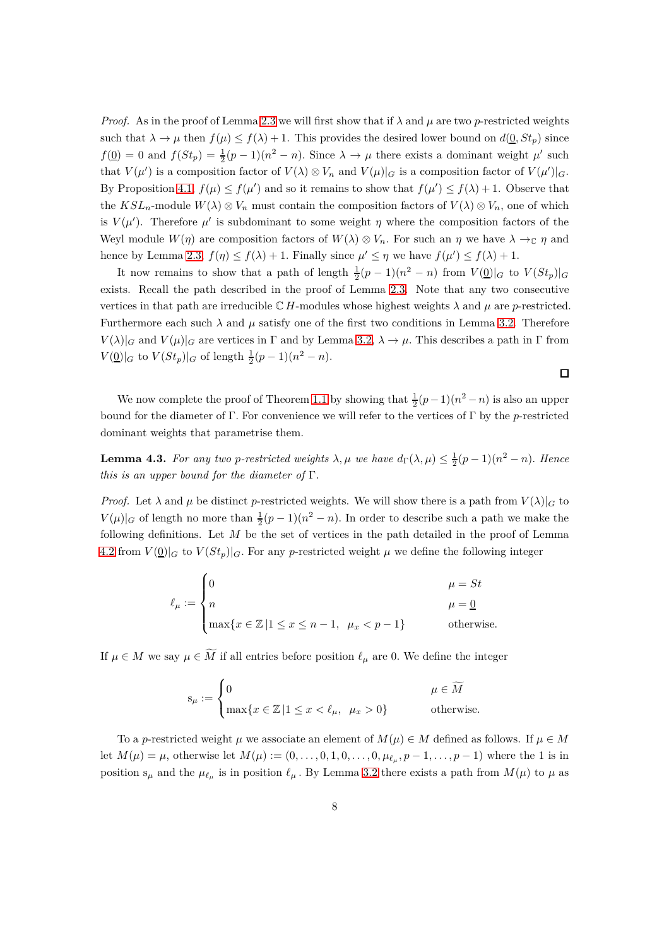*Proof.* As in the proof of Lemma [2.3](#page-2-0) we will first show that if  $\lambda$  and  $\mu$  are two *p*-restricted weights such that  $\lambda \to \mu$  then  $f(\mu) \leq f(\lambda) + 1$ . This provides the desired lower bound on  $d(\underline{0}, St_p)$  since  $f(\underline{0}) = 0$  and  $f(St_p) = \frac{1}{2}(p-1)(n^2 - n)$ . Since  $\lambda \to \mu$  there exists a dominant weight  $\mu'$  such that  $V(\mu')$  is a composition factor of  $V(\lambda) \otimes V_n$  and  $V(\mu)|_G$  is a composition factor of  $V(\mu')|_G$ . By Proposition [4.1,](#page-6-1)  $f(\mu) \leq f(\mu')$  and so it remains to show that  $f(\mu') \leq f(\lambda) + 1$ . Observe that the  $KSL_n$ -module  $W(\lambda) \otimes V_n$  must contain the composition factors of  $V(\lambda) \otimes V_n$ , one of which is  $V(\mu')$ . Therefore  $\mu'$  is subdominant to some weight  $\eta$  where the composition factors of the Weyl module  $W(\eta)$  are composition factors of  $W(\lambda) \otimes V_n$ . For such an  $\eta$  we have  $\lambda \to_{\mathbb{C}} \eta$  and hence by Lemma [2.3,](#page-2-0)  $f(\eta) \leq f(\lambda) + 1$ . Finally since  $\mu' \leq \eta$  we have  $f(\mu') \leq f(\lambda) + 1$ .

It now remains to show that a path of length  $\frac{1}{2}(p-1)(n^2-n)$  from  $V(\underline{0})|_G$  to  $V(St_p)|_G$ exists. Recall the path described in the proof of Lemma [2.3.](#page-2-0) Note that any two consecutive vertices in that path are irreducible  $\mathbb{C}$  *H*-modules whose highest weights  $\lambda$  and  $\mu$  are *p*-restricted. Furthermore each such  $\lambda$  and  $\mu$  satisfy one of the first two conditions in Lemma [3.2.](#page-4-0) Therefore  $V(\lambda)|_G$  and  $V(\mu)|_G$  are vertices in Γ and by Lemma [3.2,](#page-4-0)  $\lambda \to \mu$ . This describes a path in Γ from  $V(\underline{0})|_G$  to  $V(St_p)|_G$  of length  $\frac{1}{2}(p-1)(n^2-n)$ .

We now complete the proof of Theorem [1.1](#page-1-0) by showing that  $\frac{1}{2}(p-1)(n^2-n)$  is also an upper bound for the diameter of Γ*.* For convenience we will refer to the vertices of Γ by the *p*-restricted dominant weights that parametrise them.

<span id="page-7-0"></span>**Lemma 4.3.** For any two *p*-restricted weights  $\lambda, \mu$  we have  $d_{\Gamma}(\lambda, \mu) \leq \frac{1}{2}(p-1)(n^2 - n)$ . Hence *this is an upper bound for the diameter of* Γ*.*

*Proof.* Let  $\lambda$  and  $\mu$  be distinct *p*-restricted weights. We will show there is a path from  $V(\lambda)|_G$  to  $V(\mu)|_G$  of length no more than  $\frac{1}{2}(p-1)(n^2-n)$ . In order to describe such a path we make the following definitions. Let *M* be the set of vertices in the path detailed in the proof of Lemma [4.2](#page-6-0) from  $V(\underline{0})|_G$  to  $V(St_p)|_G$ . For any *p*-restricted weight  $\mu$  we define the following integer

$$
\ell_\mu := \begin{cases} 0 & \mu = St \\ n & \mu = \underline{0} \\ \max\{x \in \mathbb{Z} \, | 1 \leq x \leq n-1, \ \mu_x < p-1\} & \text{otherwise.} \end{cases}
$$

If  $\mu \in M$  we say  $\mu \in \widetilde{M}$  if all entries before position  $\ell_{\mu}$  are 0. We define the integer

$$
\mathbf{s}_{\mu} := \begin{cases} 0 & \quad \mu \in \widetilde{M} \\ \max\{x \in \mathbb{Z} \, | 1 \leq x < \ell_{\mu}, \ \mu_x > 0\} \end{cases} \quad \text{otherwise.}
$$

To a *p*-restricted weight  $\mu$  we associate an element of  $M(\mu) \in M$  defined as follows. If  $\mu \in M$ let  $M(\mu) = \mu$ , otherwise let  $M(\mu) := (0, \ldots, 0, 1, 0, \ldots, 0, \mu_{\ell_{\mu}}, p - 1, \ldots, p - 1)$  where the 1 is in position  $s_\mu$  and the  $\mu_{\ell_\mu}$  is in position  $\ell_\mu$ . By Lemma [3.2](#page-4-0) there exists a path from  $M(\mu)$  to  $\mu$  as

 $\Box$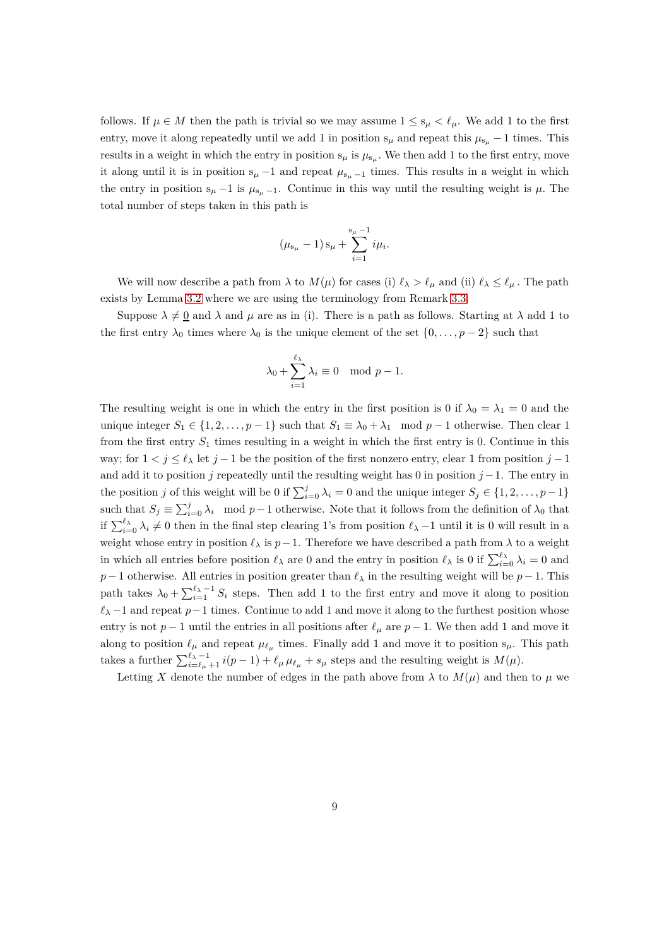follows. If  $\mu \in M$  then the path is trivial so we may assume  $1 \leq s_{\mu} < \ell_{\mu}$ . We add 1 to the first entry, move it along repeatedly until we add 1 in position  $s_{\mu}$  and repeat this  $\mu_{s_{\mu}} - 1$  times. This results in a weight in which the entry in position  $s_{\mu}$  is  $\mu_{s_{\mu}}$ . We then add 1 to the first entry, move it along until it is in position  $s_\mu - 1$  and repeat  $\mu_{s_\mu - 1}$  times. This results in a weight in which the entry in position  $s_\mu - 1$  is  $\mu_{s_\mu - 1}$ . Continue in this way until the resulting weight is  $\mu$ . The total number of steps taken in this path is

$$
(\mu_{s_{\mu}}-1) s_{\mu} + \sum_{i=1}^{s_{\mu}-1} i \mu_i.
$$

We will now describe a path from  $\lambda$  to  $M(\mu)$  for cases (i)  $\ell_{\lambda} > \ell_{\mu}$  and (ii)  $\ell_{\lambda} \leq \ell_{\mu}$ . The path exists by Lemma [3.2](#page-4-0) where we are using the terminology from Remark [3.3.](#page-6-2)

Suppose  $\lambda \neq 0$  and  $\lambda$  and  $\mu$  are as in (i). There is a path as follows. Starting at  $\lambda$  add 1 to the first entry  $\lambda_0$  times where  $\lambda_0$  is the unique element of the set  $\{0, \ldots, p-2\}$  such that

$$
\lambda_0 + \sum_{i=1}^{\ell_\lambda} \lambda_i \equiv 0 \mod p - 1.
$$

The resulting weight is one in which the entry in the first position is 0 if  $\lambda_0 = \lambda_1 = 0$  and the unique integer  $S_1 \in \{1, 2, \ldots, p-1\}$  such that  $S_1 \equiv \lambda_0 + \lambda_1 \mod p-1$  otherwise. Then clear 1 from the first entry *S*<sup>1</sup> times resulting in a weight in which the first entry is 0*.* Continue in this way; for  $1 < j \leq \ell_{\lambda}$  let  $j - 1$  be the position of the first nonzero entry, clear 1 from position  $j - 1$ and add it to position *j* repeatedly until the resulting weight has 0 in position *j* −1. The entry in the position *j* of this weight will be 0 if  $\sum_{i=0}^{j} \lambda_i = 0$  and the unique integer  $S_j \in \{1, 2, \ldots, p-1\}$ such that  $S_j \equiv \sum_{i=0}^j \lambda_i \mod p-1$  otherwise. Note that it follows from the definition of  $\lambda_0$  that if  $\sum_{i=0}^{\ell_{\lambda}} \lambda_i \neq 0$  then in the final step clearing 1's from position  $\ell_{\lambda}$  −1 until it is 0 will result in a weight whose entry in position  $\ell_{\lambda}$  is  $p-1$ . Therefore we have described a path from  $\lambda$  to a weight in which all entries before position  $\ell_{\lambda}$  are 0 and the entry in position  $\ell_{\lambda}$  is 0 if  $\sum_{i=0}^{\ell_{\lambda}} \lambda_i = 0$  and *p* − 1 otherwise. All entries in position greater than  $\ell_{\lambda}$  in the resulting weight will be *p* − 1*.* This path takes  $\lambda_0 + \sum_{i=1}^{\ell_{\lambda}-1} S_i$  steps. Then add 1 to the first entry and move it along to position  $\ell$ <sup>2</sup> −1 and repeat  $p-1$  times. Continue to add 1 and move it along to the furthest position whose entry is not  $p-1$  until the entries in all positions after  $\ell_{\mu}$  are  $p-1$ . We then add 1 and move it along to position  $\ell_{\mu}$  and repeat  $\mu_{\ell_{\mu}}$  times. Finally add 1 and move it to position  $s_{\mu}$ . This path takes a further  $\sum_{i=\ell_\mu+1}^{\ell_\lambda-1} i(p-1) + \ell_\mu \mu_{\ell_\mu} + s_\mu$  steps and the resulting weight is  $M(\mu)$ .

Letting *X* denote the number of edges in the path above from  $\lambda$  to  $M(\mu)$  and then to  $\mu$  we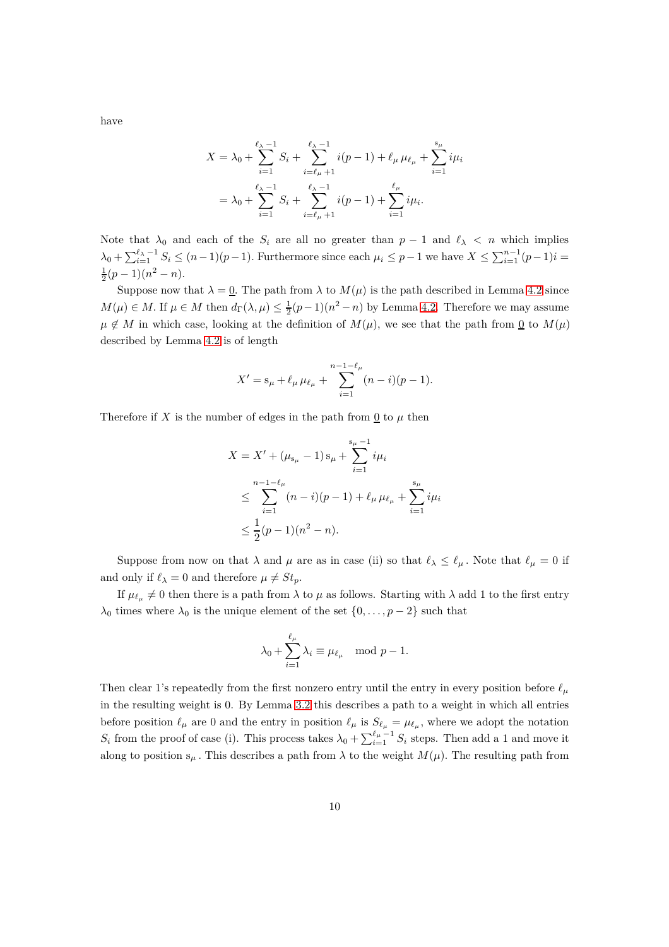$$
X = \lambda_0 + \sum_{i=1}^{\ell_{\lambda}-1} S_i + \sum_{i=\ell_{\mu}+1}^{\ell_{\lambda}-1} i(p-1) + \ell_{\mu} \mu_{\ell_{\mu}} + \sum_{i=1}^{s_{\mu}} i\mu_i
$$
  
=  $\lambda_0 + \sum_{i=1}^{\ell_{\lambda}-1} S_i + \sum_{i=\ell_{\mu}+1}^{\ell_{\lambda}-1} i(p-1) + \sum_{i=1}^{\ell_{\mu}} i\mu_i.$ 

Note that  $\lambda_0$  and each of the  $S_i$  are all no greater than  $p-1$  and  $\ell_\lambda$  < n which implies  $\lambda_0 + \sum_{i=1}^{\ell_{\lambda}-1} S_i \leq (n-1)(p-1)$ . Furthermore since each  $\mu_i \leq p-1$  we have  $X \leq \sum_{i=1}^{n-1} (p-1)i$  $\frac{1}{2}(p-1)(n^2-n)$ .

Suppose now that  $\lambda = 0$ . The path from  $\lambda$  to  $M(\mu)$  is the path described in Lemma [4.2](#page-6-0) since *M*( $\mu$ ) ∈ *M*. If  $\mu$  ∈ *M* then  $d_{\Gamma}(\lambda, \mu) \leq \frac{1}{2}(p-1)(n^2 - n)$  by Lemma [4.2.](#page-6-0) Therefore we may assume  $\mu \notin M$  in which case, looking at the definition of  $M(\mu)$ , we see that the path from <u>0</u> to  $M(\mu)$ described by Lemma [4.2](#page-6-0) is of length

$$
X' = s_{\mu} + \ell_{\mu} \mu_{\ell_{\mu}} + \sum_{i=1}^{n-1-\ell_{\mu}} (n-i)(p-1).
$$

Therefore if *X* is the number of edges in the path from  $\underline{0}$  to  $\mu$  then

$$
X = X' + (\mu_{s_{\mu}} - 1) s_{\mu} + \sum_{i=1}^{s_{\mu}-1} i\mu_i
$$
  
\n
$$
\leq \sum_{i=1}^{n-1-\ell_{\mu}} (n-i)(p-1) + \ell_{\mu} \mu_{\ell_{\mu}} + \sum_{i=1}^{s_{\mu}} i\mu_i
$$
  
\n
$$
\leq \frac{1}{2}(p-1)(n^2 - n).
$$

Suppose from now on that  $\lambda$  and  $\mu$  are as in case (ii) so that  $\ell_{\lambda} \leq \ell_{\mu}$ . Note that  $\ell_{\mu} = 0$  if and only if  $\ell_{\lambda} = 0$  and therefore  $\mu \neq St_p$ .

If  $\mu_{\ell_{\mu}} \neq 0$  then there is a path from  $\lambda$  to  $\mu$  as follows. Starting with  $\lambda$  add 1 to the first entry  $\lambda_0$  times where  $\lambda_0$  is the unique element of the set  $\{0, \ldots, p-2\}$  such that

$$
\lambda_0 + \sum_{i=1}^{\ell_\mu} \lambda_i \equiv \mu_{\ell_\mu} \mod p - 1.
$$

Then clear 1's repeatedly from the first nonzero entry until the entry in every position before *ℓ<sup>µ</sup>* in the resulting weight is 0. By Lemma [3.2](#page-4-0) this describes a path to a weight in which all entries before position  $\ell_{\mu}$  are 0 and the entry in position  $\ell_{\mu}$  is  $S_{\ell_{\mu}} = \mu_{\ell_{\mu}}$ , where we adopt the notation  $S_i$  from the proof of case (i). This process takes  $\lambda_0 + \sum_{i=1}^{\ell_\mu-1} S_i$  steps. Then add a 1 and move it along to position  $s_\mu$ . This describes a path from  $\lambda$  to the weight  $M(\mu)$ . The resulting path from

have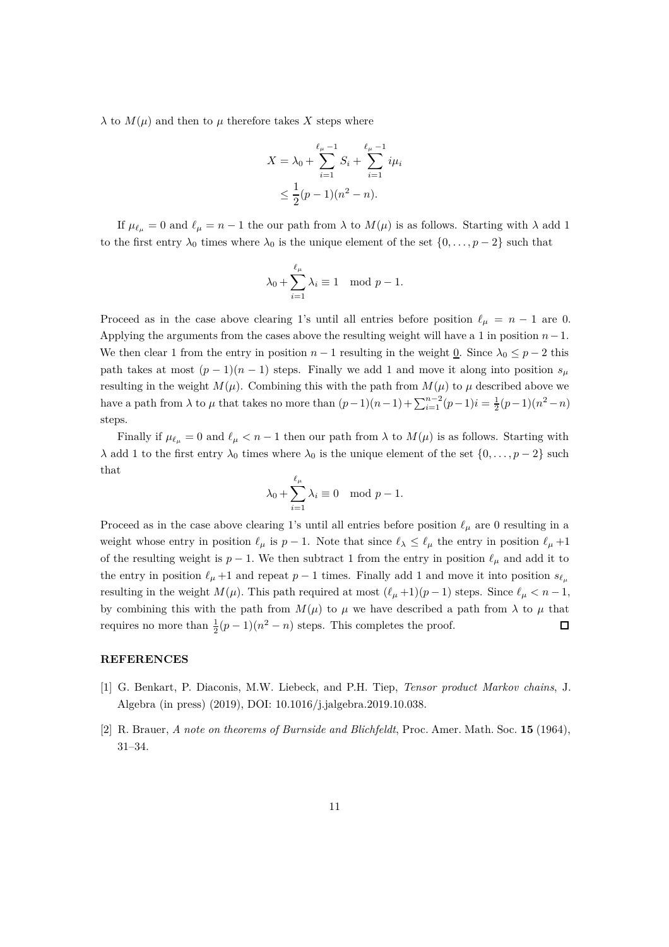*λ* to  $M(μ)$  and then to *μ* therefore takes *X* steps where

$$
X = \lambda_0 + \sum_{i=1}^{\ell_{\mu}-1} S_i + \sum_{i=1}^{\ell_{\mu}-1} i\mu_i
$$
  

$$
\leq \frac{1}{2}(p-1)(n^2 - n).
$$

If  $\mu_{\ell_{\mu}} = 0$  and  $\ell_{\mu} = n - 1$  the our path from  $\lambda$  to  $M(\mu)$  is as follows. Starting with  $\lambda$  add 1 to the first entry  $\lambda_0$  times where  $\lambda_0$  is the unique element of the set  $\{0,\ldots,p-2\}$  such that

$$
\lambda_0 + \sum_{i=1}^{\ell_{\mu}} \lambda_i \equiv 1 \mod p - 1.
$$

Proceed as in the case above clearing 1's until all entries before position  $\ell_{\mu} = n - 1$  are 0. Applying the arguments from the cases above the resulting weight will have a 1 in position *n*−1*.* We then clear 1 from the entry in position  $n-1$  resulting in the weight 0. Since  $\lambda_0 \leq p-2$  this path takes at most  $(p-1)(n-1)$  steps. Finally we add 1 and move it along into position  $s_\mu$ resulting in the weight  $M(\mu)$ . Combining this with the path from  $M(\mu)$  to  $\mu$  described above we have a path from  $\lambda$  to  $\mu$  that takes no more than  $(p-1)(n-1)+\sum_{i=1}^{n-2}(p-1)i=\frac{1}{2}(p-1)(n^2-n)$ steps.

Finally if  $\mu_{\ell_n} = 0$  and  $\ell_{\mu} < n - 1$  then our path from  $\lambda$  to  $M(\mu)$  is as follows. Starting with *λ* add 1 to the first entry  $λ_0$  times where  $λ_0$  is the unique element of the set  ${0, \ldots, p-2}$  such that

$$
\lambda_0 + \sum_{i=1}^{\ell_\mu} \lambda_i \equiv 0 \mod p - 1.
$$

Proceed as in the case above clearing 1's until all entries before position  $\ell_{\mu}$  are 0 resulting in a weight whose entry in position  $\ell_{\mu}$  is  $p-1$ . Note that since  $\ell_{\lambda} \leq \ell_{\mu}$  the entry in position  $\ell_{\mu}+1$ of the resulting weight is  $p-1$ . We then subtract 1 from the entry in position  $\ell_{\mu}$  and add it to the entry in position  $\ell_{\mu}$  +1 and repeat  $p-1$  times. Finally add 1 and move it into position  $s_{\ell_{\mu}}$ resulting in the weight  $M(\mu)$ . This path required at most  $(\ell_{\mu}+1)(p-1)$  steps. Since  $\ell_{\mu} < n-1$ , by combining this with the path from  $M(\mu)$  to  $\mu$  we have described a path from  $\lambda$  to  $\mu$  that requires no more than  $\frac{1}{2}(p-1)(n^2-n)$  steps. This completes the proof.  $\Box$ 

### <span id="page-10-0"></span>**REFERENCES**

- [1] G. Benkart, P. Diaconis, M.W. Liebeck, and P.H. Tiep, *Tensor product Markov chains*, J. Algebra (in press) (2019), DOI: 10.1016/j.jalgebra.2019.10.038.
- [2] R. Brauer, *A note on theorems of Burnside and Blichfeldt*, Proc. Amer. Math. Soc. **15** (1964), 31–34.